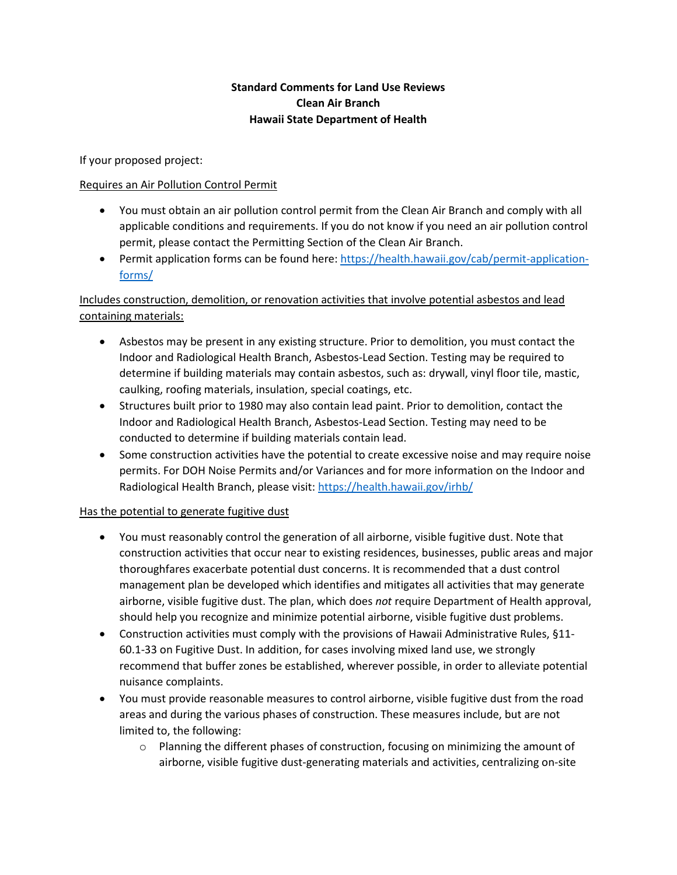## **Standard Comments for Land Use Reviews Clean Air Branch Hawaii State Department of Health**

If your proposed project:

## Requires an Air Pollution Control Permit

- You must obtain an air pollution control permit from the Clean Air Branch and comply with all applicable conditions and requirements. If you do not know if you need an air pollution control permit, please contact the Permitting Section of the Clean Air Branch.
- Permit application forms can be found here: [https://health.hawaii.gov/cab/permit-application](https://health.hawaii.gov/cab/permit-application-forms/)[forms/](https://health.hawaii.gov/cab/permit-application-forms/)

## Includes construction, demolition, or renovation activities that involve potential asbestos and lead containing materials:

- Asbestos may be present in any existing structure. Prior to demolition, you must contact the Indoor and Radiological Health Branch, Asbestos-Lead Section. Testing may be required to determine if building materials may contain asbestos, such as: drywall, vinyl floor tile, mastic, caulking, roofing materials, insulation, special coatings, etc.
- Structures built prior to 1980 may also contain lead paint. Prior to demolition, contact the Indoor and Radiological Health Branch, Asbestos-Lead Section. Testing may need to be conducted to determine if building materials contain lead.
- Some construction activities have the potential to create excessive noise and may require noise permits. For DOH Noise Permits and/or Variances and for more information on the Indoor and Radiological Health Branch, please visit[: https://health.hawaii.gov/irhb/](https://health.hawaii.gov/irhb/)

## Has the potential to generate fugitive dust

- You must reasonably control the generation of all airborne, visible fugitive dust. Note that construction activities that occur near to existing residences, businesses, public areas and major thoroughfares exacerbate potential dust concerns. It is recommended that a dust control management plan be developed which identifies and mitigates all activities that may generate airborne, visible fugitive dust. The plan, which does *not* require Department of Health approval, should help you recognize and minimize potential airborne, visible fugitive dust problems.
- Construction activities must comply with the provisions of Hawaii Administrative Rules, §11- 60.1-33 on Fugitive Dust. In addition, for cases involving mixed land use, we strongly recommend that buffer zones be established, wherever possible, in order to alleviate potential nuisance complaints.
- You must provide reasonable measures to control airborne, visible fugitive dust from the road areas and during the various phases of construction. These measures include, but are not limited to, the following:
	- o Planning the different phases of construction, focusing on minimizing the amount of airborne, visible fugitive dust-generating materials and activities, centralizing on-site